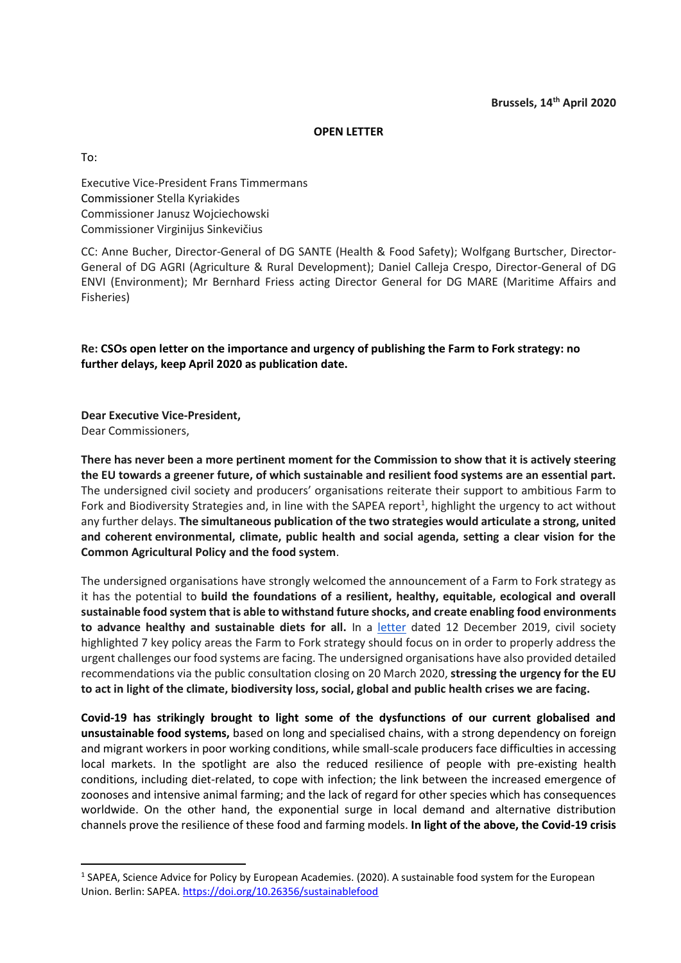## **OPEN LETTER**

To:

Executive Vice-President Frans Timmermans Commissioner Stella Kyriakides Commissioner Janusz Wojciechowski Commissioner Virginijus Sinkevičius

CC: Anne Bucher, Director-General of DG SANTE (Health & Food Safety); Wolfgang Burtscher, Director-General of DG AGRI (Agriculture & Rural Development); Daniel Calleja Crespo, Director-General of DG ENVI (Environment); Mr Bernhard Friess acting Director General for DG MARE (Maritime Affairs and Fisheries)

**Re: CSOs open letter on the importance and urgency of publishing the Farm to Fork strategy: no further delays, keep April 2020 as publication date.**

**Dear Executive Vice-President,** Dear Commissioners,

**There has never been a more pertinent moment for the Commission to show that it is actively steering the EU towards a greener future, of which sustainable and resilient food systems are an essential part.**  The undersigned civil society and producers' organisations reiterate their support to ambitious Farm to Fork and Biodiversity Strategies and, in line with the SAPEA report<sup>1</sup>, highlight the urgency to act without any further delays. **The simultaneous publication of the two strategies would articulate a strong, united and coherent environmental, climate, public health and social agenda, setting a clear vision for the Common Agricultural Policy and the food system**.

The undersigned organisations have strongly welcomed the announcement of a Farm to Fork strategy as it has the potential to **build the foundations of a resilient, healthy, equitable, ecological and overall sustainable food system that is able to withstand future shocks, and create enabling food environments to advance healthy and sustainable diets for all.** In a [letter](https://www.effat.org/wp-content/uploads/2019/12/EU-FPC_Open-Letter-F2F.pdf) dated 12 December 2019, civil society highlighted 7 key policy areas the Farm to Fork strategy should focus on in order to properly address the urgent challenges our food systems are facing. The undersigned organisations have also provided detailed recommendations via the public consultation closing on 20 March 2020, **stressing the urgency for the EU to act in light of the climate, biodiversity loss, social, global and public health crises we are facing.**

**Covid-19 has strikingly brought to light some of the dysfunctions of our current globalised and unsustainable food systems,** based on long and specialised chains, with a strong dependency on foreign and migrant workers in poor working conditions, while small-scale producers face difficulties in accessing local markets. In the spotlight are also the reduced resilience of people with pre-existing health conditions, including diet-related, to cope with infection; the link between the increased emergence of zoonoses and intensive animal farming; and the lack of regard for other species which has consequences worldwide. On the other hand, the exponential surge in local demand and alternative distribution channels prove the resilience of these food and farming models. **In light of the above, the Covid-19 crisis** 

<sup>&</sup>lt;sup>1</sup> SAPEA, Science Advice for Policy by European Academies. (2020). A sustainable food system for the European Union. Berlin: SAPEA.<https://doi.org/10.26356/sustainablefood>